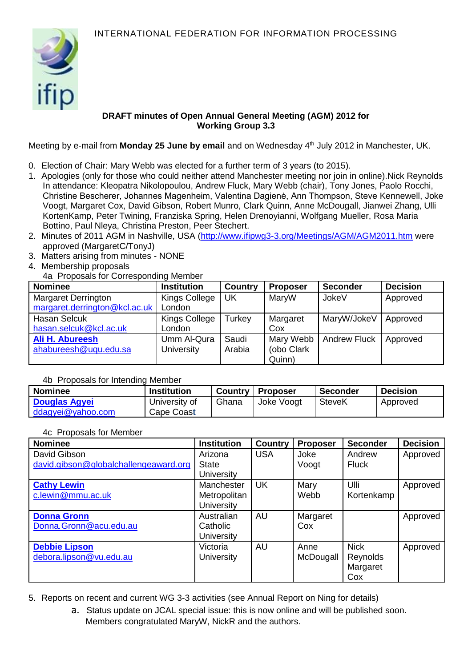

## **DRAFT minutes of Open Annual General Meeting (AGM) 2012 for Working Group 3.3**

Meeting by e-mail from **Monday 25 June by email** and on Wednesday 4<sup>th</sup> July 2012 in Manchester, UK.

- 0. Election of Chair: Mary Webb was elected for a further term of 3 years (to 2015).
- 1. Apologies (only for those who could neither attend Manchester meeting nor join in online).Nick Reynolds In attendance: Kleopatra Nikolopoulou, Andrew Fluck, Mary Webb (chair), Tony Jones, Paolo Rocchi, Christine Bescherer, Johannes Magenheim, Valentina Dagienė, Ann Thompson, Steve Kennewell, Joke Voogt, Margaret Cox, David Gibson, Robert Munro, Clark Quinn, Anne McDougall, Jianwei Zhang, Ulli KortenKamp, Peter Twining, Franziska Spring, Helen Drenoyianni, Wolfgang Mueller, Rosa Maria Bottino, Paul Nleya, Christina Preston, Peer Stechert.
- 2. Minutes of 2011 AGM in Nashville, USA [\(http://www.ifipwg3-3.org/Meetings/AGM/AGM2011.htm](http://www.ifipwg3-3.org/Meetings/AGM/AGM2011.htm) were approved (MargaretC/TonyJ)
- 3. Matters arising from minutes NONE
- 4. Membership proposals
- 4a Proposals for Corresponding Member

| <b>Nominee</b>                                              | <b>Institution</b>               | <b>Country</b>  | <b>Proposer</b>                   | <b>Seconder</b>     | <b>Decision</b> |
|-------------------------------------------------------------|----------------------------------|-----------------|-----------------------------------|---------------------|-----------------|
| <b>Margaret Derrington</b><br>margaret.derrington@kcl.ac.uk | Kings College<br>London          | UK              | MaryW                             | <b>JokeV</b>        | Approved        |
| <b>Hasan Selcuk</b><br>hasan.selcuk@kcl.ac.uk               | Kings College<br>London          | Turkey          | Margaret<br>Cox                   | MaryW/JokeV         | Approved        |
| Ali H. Abureesh<br>ahabureesh@uqu.edu.sa                    | Umm Al-Qura<br><b>University</b> | Saudi<br>Arabia | Mary Webb<br>(obo Clark<br>Quinn) | <b>Andrew Fluck</b> | Approved        |

## 4b Proposals for Intending Member

| <b>Nominee</b>       | <b>Institution</b> |       | <b>Country   Proposer</b> | Seconder | <b>Decision</b> |
|----------------------|--------------------|-------|---------------------------|----------|-----------------|
| <b>Douglas Agyei</b> | University of      | Ghana | Joke Voogt                | SteveK   | Approved        |
| ddagyei@yahoo.com    | Cape Coast         |       |                           |          |                 |

## 4c Proposals for Member

| <b>Nominee</b>                        | <b>Institution</b> | <b>Country</b> | <b>Proposer</b> | <b>Seconder</b> | <b>Decision</b> |
|---------------------------------------|--------------------|----------------|-----------------|-----------------|-----------------|
| David Gibson                          | Arizona            | <b>USA</b>     | Joke            | Andrew          | Approved        |
| david.gibson@globalchallengeaward.org | <b>State</b>       |                | Voogt           | <b>Fluck</b>    |                 |
|                                       | <b>University</b>  |                |                 |                 |                 |
| <b>Cathy Lewin</b>                    | Manchester         | <b>UK</b>      | Mary            | Ulli            | Approved        |
| c.lewin@mmu.ac.uk                     | Metropolitan       |                | Webb            | Kortenkamp      |                 |
|                                       | <b>University</b>  |                |                 |                 |                 |
| <b>Donna Gronn</b>                    | Australian         | <b>AU</b>      | Margaret        |                 | Approved        |
| Donna.Gronn@acu.edu.au                | Catholic           |                | Cox             |                 |                 |
|                                       | <b>University</b>  |                |                 |                 |                 |
| <b>Debbie Lipson</b>                  | Victoria           | AU             | Anne            | <b>Nick</b>     | Approved        |
| debora.lipson@vu.edu.au               | <b>University</b>  |                | McDougall       | Reynolds        |                 |
|                                       |                    |                |                 | Margaret        |                 |
|                                       |                    |                |                 | Cox             |                 |

- 5. Reports on recent and current WG 3-3 activities (see Annual Report on Ning for details)
	- a. Status update on JCAL special issue: this is now online and will be published soon. Members congratulated MaryW, NickR and the authors.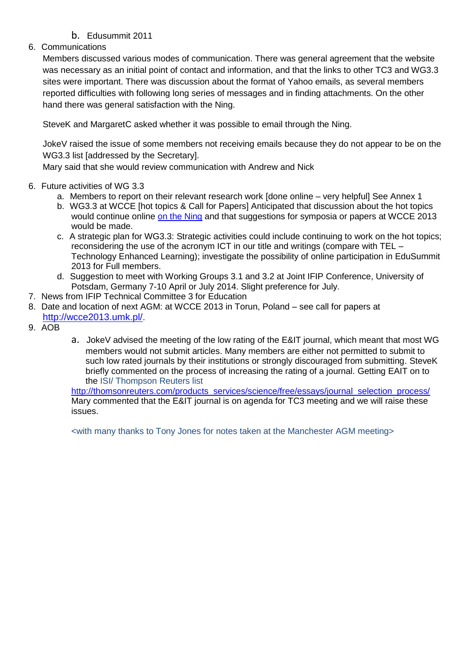# b. Edusummit 2011

# 6. Communications

Members discussed various modes of communication. There was general agreement that the website was necessary as an initial point of contact and information, and that the links to other TC3 and WG3.3 sites were important. There was discussion about the format of Yahoo emails, as several members reported difficulties with following long series of messages and in finding attachments. On the other hand there was general satisfaction with the Ning.

SteveK and MargaretC asked whether it was possible to email through the Ning.

JokeV raised the issue of some members not receiving emails because they do not appear to be on the WG3.3 list [addressed by the Secretary].

Mary said that she would review communication with Andrew and Nick

## 6. Future activities of WG 3.3

- a. Members to report on their relevant research work [done online very helpful] See Annex 1
- b. WG3.3 at WCCE [hot topics & Call for Papers] Anticipated that discussion about the hot topics would continue online [on the Ning](http://ifip-education.ning.com/group/wg33) and that suggestions for symposia or papers at WCCE 2013 would be made.
- c. A strategic plan for WG3.3: Strategic activities could include continuing to work on the hot topics; reconsidering the use of the acronym ICT in our title and writings (compare with TEL – Technology Enhanced Learning); investigate the possibility of online participation in EduSummit 2013 for Full members.
- d. Suggestion to meet with Working Groups 3.1 and 3.2 at Joint IFIP Conference, University of Potsdam, Germany 7-10 April or July 2014. Slight preference for July.
- 7. News from IFIP Technical Committee 3 for Education
- 8. Date and location of next AGM: at WCCE 2013 in Torun, Poland see call for papers at <http://wcce2013.umk.pl/>.
- 9. AOB
- a. JokeV advised the meeting of the low rating of the E&IT journal, which meant that most WG members would not submit articles. Many members are either not permitted to submit to such low rated journals by their institutions or strongly discouraged from submitting. SteveK briefly commented on the process of increasing the rating of a journal. Getting EAIT on to the ISI/ Thompson Reuters list

[http://thomsonreuters.com/products\\_services/science/free/essays/journal\\_selection\\_process/](http://thomsonreuters.com/products_services/science/free/essays/journal_selection_process/) Mary commented that the E&IT journal is on agenda for TC3 meeting and we will raise these issues.

<with many thanks to Tony Jones for notes taken at the Manchester AGM meeting>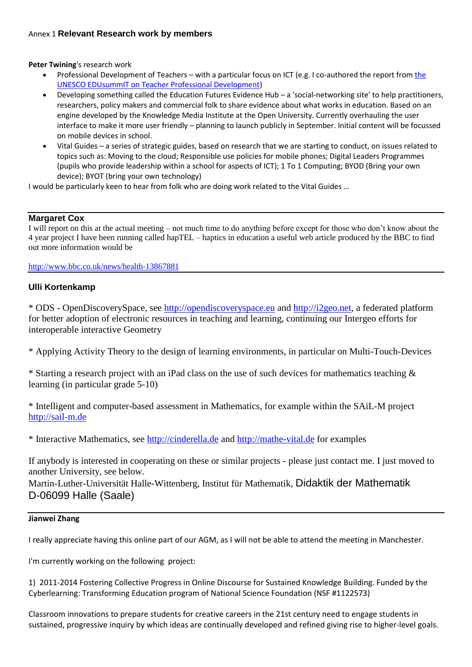## Annex 1 **Relevant Research work by members**

**Peter Twining**'s research work

- Professional Development of Teachers with a particular focus on ICT (e.g. I co-authored [the](http://dl.dropbox.com/u/9088553/Twining%20et%20al%202011%20EDUsummIT%20TWG3%20Report.pdf) report from the [UNESCO EDUsummIT on Teacher Professional Development\)](http://dl.dropbox.com/u/9088553/Twining%20et%20al%202011%20EDUsummIT%20TWG3%20Report.pdf)
- Developing something called the Education Futures Evidence Hub a 'social-networking site' to help practitioners, researchers, policy makers and commercial folk to share evidence about what works in education. Based on an engine developed by the Knowledge Media Institute at the Open University. Currently overhauling the user interface to make it more user friendly – planning to launch publicly in September. Initial content will be focussed on mobile devices in school.
- Vital Guides a series of strategic guides, based on research that we are starting to conduct, on issues related to topics such as: Moving to the cloud; Responsible use policies for mobile phones; Digital Leaders Programmes (pupils who provide leadership within a school for aspects of ICT); 1 To 1 Computing; BYOD (Bring your own device); BYOT (bring your own technology)

I would be particularly keen to hear from folk who are doing work related to the Vital Guides …

## **Margaret Cox**

I will report on this at the actual meeting – not much time to do anything before except for those who don't know about the 4 year project I have been running called hapTEL – haptics in education a useful web article produced by the BBC to find out more information would be

<http://www.bbc.co.uk/news/health-13867881>

## **Ulli Kortenkamp**

\* ODS - OpenDiscoverySpace, see [http://opendiscoveryspace.eu](http://opendiscoveryspace.eu/) and [http://i2geo.net,](http://i2geo.net/) a federated platform for better adoption of electronic resources in teaching and learning, continuing our Intergeo efforts for interoperable interactive Geometry

\* Applying Activity Theory to the design of learning environments, in particular on Multi-Touch-Devices

\* Starting a research project with an iPad class on the use of such devices for mathematics teaching & learning (in particular grade 5-10)

\* Intelligent and computer-based assessment in Mathematics, for example within the SAiL-M project [http://sail-m.de](http://sail-m.de/)

\* Interactive Mathematics, see [http://cinderella.de](http://cinderella.de/) and [http://mathe-vital.de](http://mathe-vital.de/) for examples

If anybody is interested in cooperating on these or similar projects - please just contact me. I just moved to another University, see below.

Martin-Luther-Universität Halle-Wittenberg, Institut für Mathematik, Didaktik der Mathematik D-06099 Halle (Saale)

#### **Jianwei Zhang**

I really appreciate having this online part of our AGM, as I will not be able to attend the meeting in Manchester.

I'm currently working on the following project:

1) 2011-2014 Fostering Collective Progress in Online Discourse for Sustained Knowledge Building. Funded by the Cyberlearning: Transforming Education program of National Science Foundation (NSF #1122573)

Classroom innovations to prepare students for creative careers in the 21st century need to engage students in sustained, progressive inquiry by which ideas are continually developed and refined giving rise to higher-level goals.